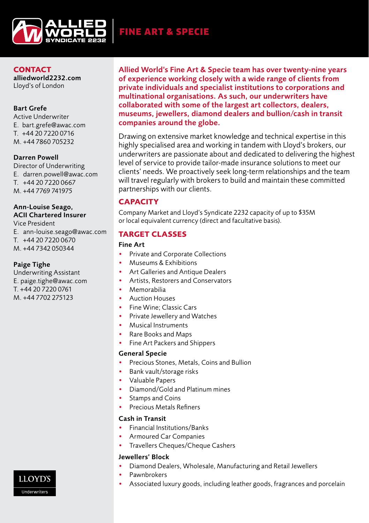

FINE ART & SPECIE

**CONTACT** alliedworld2232.com Lloyd's of London

## Bart Grefe

Active Underwriter E. bart.grefe@awac.com T. +44 20 7220 0716 M. +44 7860 705232

## Darren Powell

Director of Underwriting E. darren.powell@awac.com T. +44 20 7220 0667 M. +44 7769 741975

# Ann-Louise Seago, ACII Chartered Insurer

Vice President E. ann-louise.seago@awac.com T. +44 20 7220 0670

M. +44 7342 050344

## Paige Tighe

Underwriting Assistant E. paige.tighe@awac.com T. +44 20 7220 0761 M. +44 7702 275123

Allied World's Fine Art & Specie team has over twenty-nine years of experience working closely with a wide range of clients from private individuals and specialist institutions to corporations and multinational organisations. As such, our underwriters have collaborated with some of the largest art collectors, dealers, museums, jewellers, diamond dealers and bullion/cash in transit companies around the globe.

Drawing on extensive market knowledge and technical expertise in this highly specialised area and working in tandem with Lloyd's brokers, our underwriters are passionate about and dedicated to delivering the highest level of service to provide tailor-made insurance solutions to meet our clients' needs. We proactively seek long-term relationships and the team will travel regularly with brokers to build and maintain these committed partnerships with our clients.

## **CAPACITY**

Company Market and Lloyd's Syndicate 2232 capacity of up to \$35M or local equivalent currency (direct and facultative basis).

## **TARGET CLASSES**

### Fine Art

- Private and Corporate Collections
- Museums & Exhibitions
- Art Galleries and Antique Dealers
- Artists, Restorers and Conservators
- Memorabilia
- Auction Houses
- Fine Wine; Classic Cars
- Private Jewellery and Watches
- Musical Instruments
- Rare Books and Maps
- Fine Art Packers and Shippers

#### General Specie

- Precious Stones, Metals, Coins and Bullion
- Bank vault/storage risks
- Valuable Papers
- Diamond/Gold and Platinum mines
- Stamps and Coins
- Precious Metals Refiners

## Cash in Transit

- Financial Institutions/Banks
- Armoured Car Companies
- Travellers Cheques/Cheque Cashers

# Jewellers' Block

- Diamond Dealers, Wholesale, Manufacturing and Retail Jewellers
- **Pawnbrokers**
- Associated luxury goods, including leather goods, fragrances and porcelain